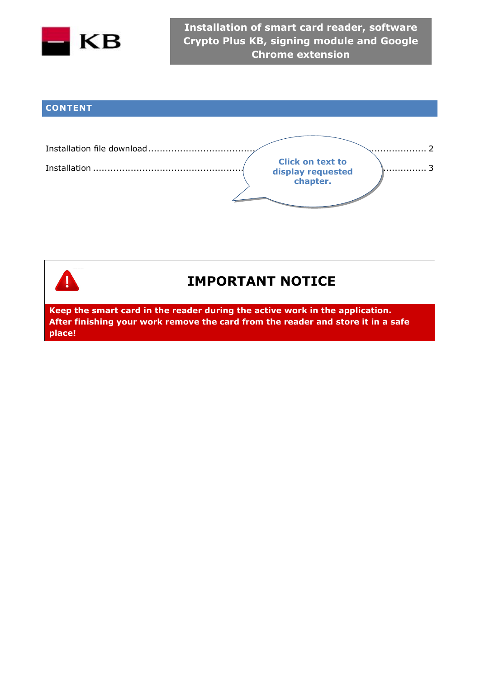

## **CONTENT**





## **IMPORTANT NOTICE**

**Keep the smart card in the reader during the active work in the application. After finishing your work remove the card from the reader and store it in a safe place!**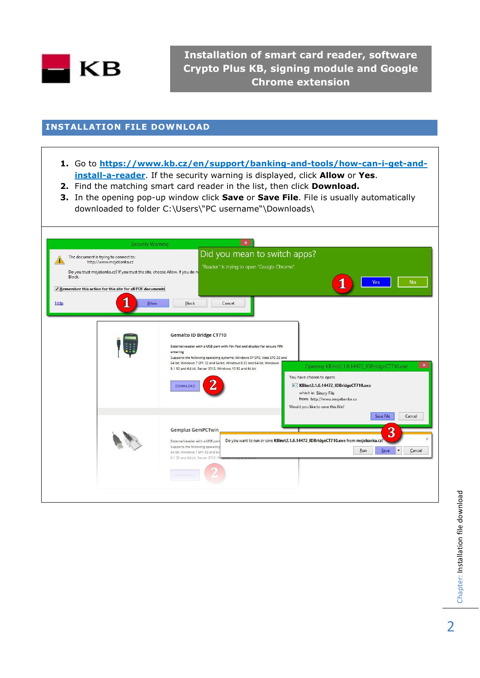

**Installation of smart card reader, software Crypto Plus KB, signing module and Google Chrome extension**

## <span id="page-1-0"></span>**INSTALLATION FILE DOWNLOAD**

- **1.** Go to **[https://www.kb.cz/en/support/banking-and-tools/how-can-i-get-and](https://www.kb.cz/en/support/banking-and-tools/how-can-i-get-and-install-a-reader)[install-a-reader](https://www.kb.cz/en/support/banking-and-tools/how-can-i-get-and-install-a-reader)**. If the security warning is displayed, click **Allow** or **Yes**.
- **2.** Find the matching smart card reader in the list, then click **Download.**
- **3.** In the opening pop-up window click **Save** or **Save File**. File is usually automatically downloaded to folder C:\Users\"PC username"\Downloads\

<span id="page-1-1"></span>